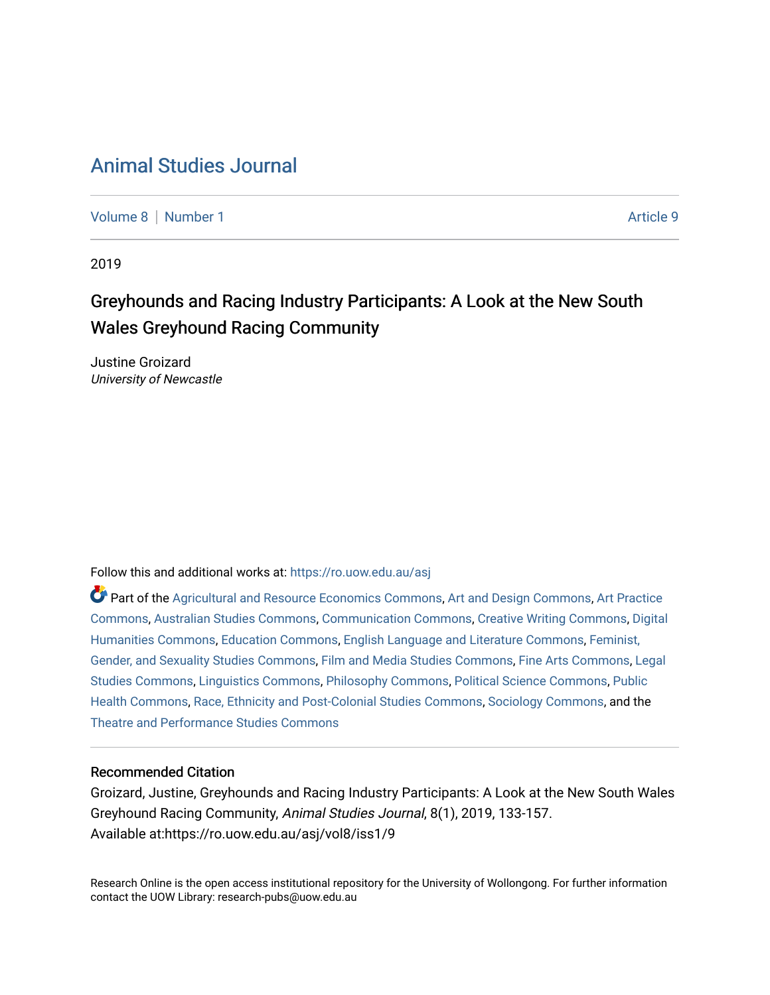# [Animal Studies Journal](https://ro.uow.edu.au/asj)

[Volume 8](https://ro.uow.edu.au/asj/vol8) | [Number 1](https://ro.uow.edu.au/asj/vol8/iss1) Article 9

2019

# Greyhounds and Racing Industry Participants: A Look at the New South Wales Greyhound Racing Community

Justine Groizard University of Newcastle

Follow this and additional works at: [https://ro.uow.edu.au/asj](https://ro.uow.edu.au/asj?utm_source=ro.uow.edu.au%2Fasj%2Fvol8%2Fiss1%2F9&utm_medium=PDF&utm_campaign=PDFCoverPages) 

Part of the [Agricultural and Resource Economics Commons,](http://network.bepress.com/hgg/discipline/317?utm_source=ro.uow.edu.au%2Fasj%2Fvol8%2Fiss1%2F9&utm_medium=PDF&utm_campaign=PDFCoverPages) [Art and Design Commons](http://network.bepress.com/hgg/discipline/1049?utm_source=ro.uow.edu.au%2Fasj%2Fvol8%2Fiss1%2F9&utm_medium=PDF&utm_campaign=PDFCoverPages), [Art Practice](http://network.bepress.com/hgg/discipline/509?utm_source=ro.uow.edu.au%2Fasj%2Fvol8%2Fiss1%2F9&utm_medium=PDF&utm_campaign=PDFCoverPages) [Commons](http://network.bepress.com/hgg/discipline/509?utm_source=ro.uow.edu.au%2Fasj%2Fvol8%2Fiss1%2F9&utm_medium=PDF&utm_campaign=PDFCoverPages), [Australian Studies Commons,](http://network.bepress.com/hgg/discipline/1020?utm_source=ro.uow.edu.au%2Fasj%2Fvol8%2Fiss1%2F9&utm_medium=PDF&utm_campaign=PDFCoverPages) [Communication Commons,](http://network.bepress.com/hgg/discipline/325?utm_source=ro.uow.edu.au%2Fasj%2Fvol8%2Fiss1%2F9&utm_medium=PDF&utm_campaign=PDFCoverPages) [Creative Writing Commons,](http://network.bepress.com/hgg/discipline/574?utm_source=ro.uow.edu.au%2Fasj%2Fvol8%2Fiss1%2F9&utm_medium=PDF&utm_campaign=PDFCoverPages) [Digital](http://network.bepress.com/hgg/discipline/1286?utm_source=ro.uow.edu.au%2Fasj%2Fvol8%2Fiss1%2F9&utm_medium=PDF&utm_campaign=PDFCoverPages) [Humanities Commons,](http://network.bepress.com/hgg/discipline/1286?utm_source=ro.uow.edu.au%2Fasj%2Fvol8%2Fiss1%2F9&utm_medium=PDF&utm_campaign=PDFCoverPages) [Education Commons,](http://network.bepress.com/hgg/discipline/784?utm_source=ro.uow.edu.au%2Fasj%2Fvol8%2Fiss1%2F9&utm_medium=PDF&utm_campaign=PDFCoverPages) [English Language and Literature Commons](http://network.bepress.com/hgg/discipline/455?utm_source=ro.uow.edu.au%2Fasj%2Fvol8%2Fiss1%2F9&utm_medium=PDF&utm_campaign=PDFCoverPages), [Feminist,](http://network.bepress.com/hgg/discipline/559?utm_source=ro.uow.edu.au%2Fasj%2Fvol8%2Fiss1%2F9&utm_medium=PDF&utm_campaign=PDFCoverPages) [Gender, and Sexuality Studies Commons](http://network.bepress.com/hgg/discipline/559?utm_source=ro.uow.edu.au%2Fasj%2Fvol8%2Fiss1%2F9&utm_medium=PDF&utm_campaign=PDFCoverPages), [Film and Media Studies Commons](http://network.bepress.com/hgg/discipline/563?utm_source=ro.uow.edu.au%2Fasj%2Fvol8%2Fiss1%2F9&utm_medium=PDF&utm_campaign=PDFCoverPages), [Fine Arts Commons,](http://network.bepress.com/hgg/discipline/1141?utm_source=ro.uow.edu.au%2Fasj%2Fvol8%2Fiss1%2F9&utm_medium=PDF&utm_campaign=PDFCoverPages) [Legal](http://network.bepress.com/hgg/discipline/366?utm_source=ro.uow.edu.au%2Fasj%2Fvol8%2Fiss1%2F9&utm_medium=PDF&utm_campaign=PDFCoverPages)  [Studies Commons,](http://network.bepress.com/hgg/discipline/366?utm_source=ro.uow.edu.au%2Fasj%2Fvol8%2Fiss1%2F9&utm_medium=PDF&utm_campaign=PDFCoverPages) [Linguistics Commons,](http://network.bepress.com/hgg/discipline/371?utm_source=ro.uow.edu.au%2Fasj%2Fvol8%2Fiss1%2F9&utm_medium=PDF&utm_campaign=PDFCoverPages) [Philosophy Commons](http://network.bepress.com/hgg/discipline/525?utm_source=ro.uow.edu.au%2Fasj%2Fvol8%2Fiss1%2F9&utm_medium=PDF&utm_campaign=PDFCoverPages), [Political Science Commons](http://network.bepress.com/hgg/discipline/386?utm_source=ro.uow.edu.au%2Fasj%2Fvol8%2Fiss1%2F9&utm_medium=PDF&utm_campaign=PDFCoverPages), [Public](http://network.bepress.com/hgg/discipline/738?utm_source=ro.uow.edu.au%2Fasj%2Fvol8%2Fiss1%2F9&utm_medium=PDF&utm_campaign=PDFCoverPages) [Health Commons,](http://network.bepress.com/hgg/discipline/738?utm_source=ro.uow.edu.au%2Fasj%2Fvol8%2Fiss1%2F9&utm_medium=PDF&utm_campaign=PDFCoverPages) [Race, Ethnicity and Post-Colonial Studies Commons,](http://network.bepress.com/hgg/discipline/566?utm_source=ro.uow.edu.au%2Fasj%2Fvol8%2Fiss1%2F9&utm_medium=PDF&utm_campaign=PDFCoverPages) [Sociology Commons](http://network.bepress.com/hgg/discipline/416?utm_source=ro.uow.edu.au%2Fasj%2Fvol8%2Fiss1%2F9&utm_medium=PDF&utm_campaign=PDFCoverPages), and the [Theatre and Performance Studies Commons](http://network.bepress.com/hgg/discipline/552?utm_source=ro.uow.edu.au%2Fasj%2Fvol8%2Fiss1%2F9&utm_medium=PDF&utm_campaign=PDFCoverPages) 

#### Recommended Citation

Groizard, Justine, Greyhounds and Racing Industry Participants: A Look at the New South Wales Greyhound Racing Community, Animal Studies Journal, 8(1), 2019, 133-157. Available at:https://ro.uow.edu.au/asj/vol8/iss1/9

Research Online is the open access institutional repository for the University of Wollongong. For further information contact the UOW Library: research-pubs@uow.edu.au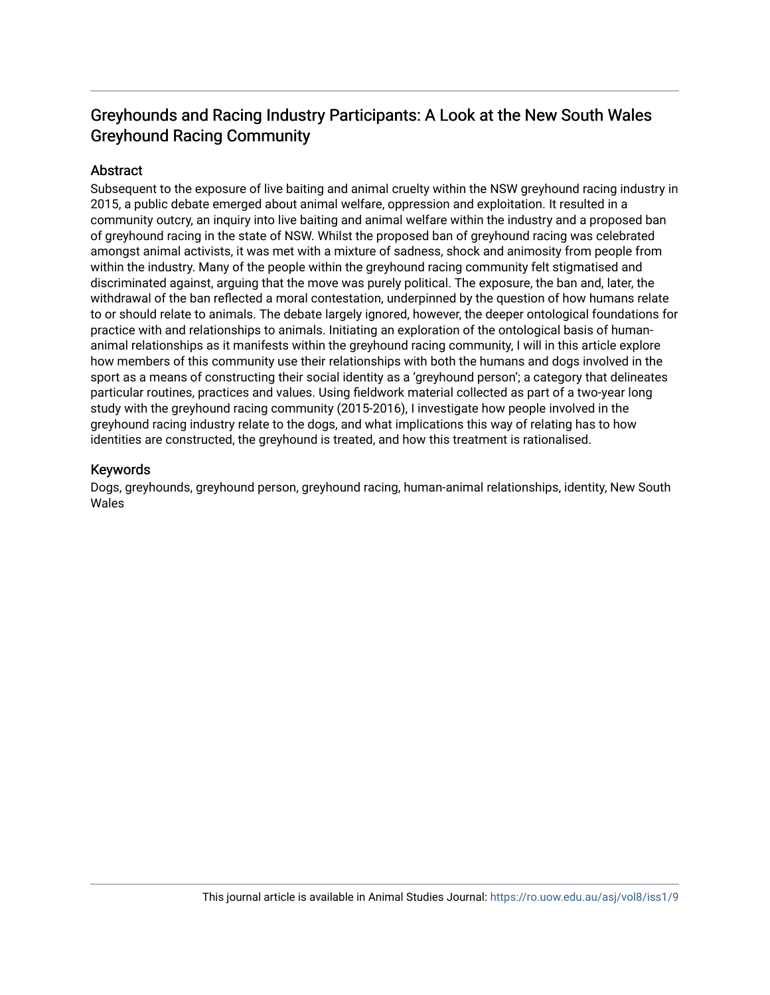## Greyhounds and Racing Industry Participants: A Look at the New South Wales Greyhound Racing Community

#### **Abstract**

Subsequent to the exposure of live baiting and animal cruelty within the NSW greyhound racing industry in 2015, a public debate emerged about animal welfare, oppression and exploitation. It resulted in a community outcry, an inquiry into live baiting and animal welfare within the industry and a proposed ban of greyhound racing in the state of NSW. Whilst the proposed ban of greyhound racing was celebrated amongst animal activists, it was met with a mixture of sadness, shock and animosity from people from within the industry. Many of the people within the greyhound racing community felt stigmatised and discriminated against, arguing that the move was purely political. The exposure, the ban and, later, the withdrawal of the ban reflected a moral contestation, underpinned by the question of how humans relate to or should relate to animals. The debate largely ignored, however, the deeper ontological foundations for practice with and relationships to animals. Initiating an exploration of the ontological basis of humananimal relationships as it manifests within the greyhound racing community, I will in this article explore how members of this community use their relationships with both the humans and dogs involved in the sport as a means of constructing their social identity as a 'greyhound person'; a category that delineates particular routines, practices and values. Using fieldwork material collected as part of a two-year long study with the greyhound racing community (2015-2016), I investigate how people involved in the greyhound racing industry relate to the dogs, and what implications this way of relating has to how identities are constructed, the greyhound is treated, and how this treatment is rationalised.

#### Keywords

Dogs, greyhounds, greyhound person, greyhound racing, human-animal relationships, identity, New South Wales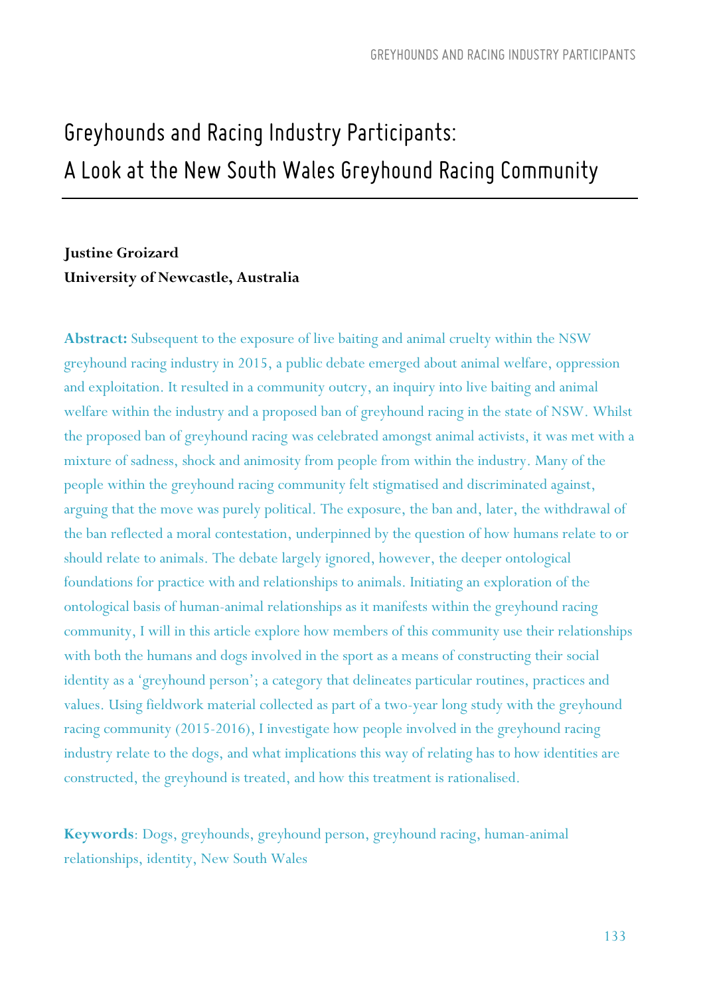# *Greyhounds and Racing Industry Participants: A Look at the New South Wales Greyhound Racing Community*

### **Justine Groizard University of Newcastle, Australia**

**Abstract:** Subsequent to the exposure of live baiting and animal cruelty within the NSW greyhound racing industry in 2015, a public debate emerged about animal welfare, oppression and exploitation. It resulted in a community outcry, an inquiry into live baiting and animal welfare within the industry and a proposed ban of greyhound racing in the state of NSW. Whilst the proposed ban of greyhound racing was celebrated amongst animal activists, it was met with a mixture of sadness, shock and animosity from people from within the industry. Many of the people within the greyhound racing community felt stigmatised and discriminated against, arguing that the move was purely political. The exposure, the ban and, later, the withdrawal of the ban reflected a moral contestation, underpinned by the question of how humans relate to or should relate to animals. The debate largely ignored, however, the deeper ontological foundations for practice with and relationships to animals. Initiating an exploration of the ontological basis of human-animal relationships as it manifests within the greyhound racing community, I will in this article explore how members of this community use their relationships with both the humans and dogs involved in the sport as a means of constructing their social identity as a 'greyhound person'; a category that delineates particular routines, practices and values. Using fieldwork material collected as part of a two-year long study with the greyhound racing community (2015-2016), I investigate how people involved in the greyhound racing industry relate to the dogs, and what implications this way of relating has to how identities are constructed, the greyhound is treated, and how this treatment is rationalised.

**Keywords**: Dogs, greyhounds, greyhound person, greyhound racing, human-animal relationships, identity, New South Wales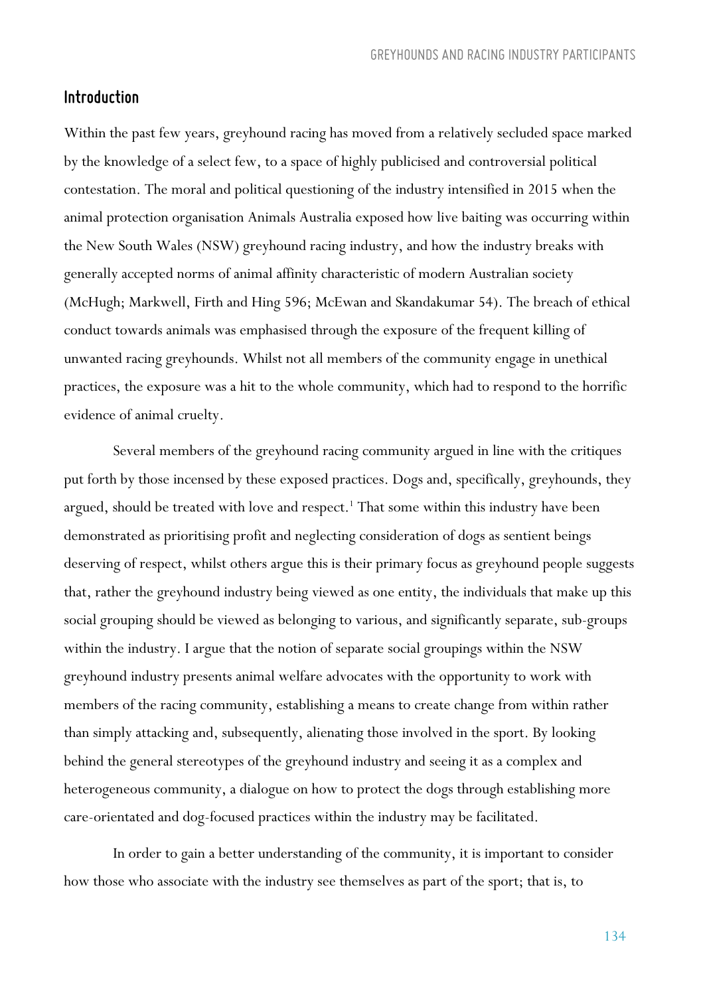#### *Introduction*

Within the past few years, greyhound racing has moved from a relatively secluded space marked by the knowledge of a select few, to a space of highly publicised and controversial political contestation. The moral and political questioning of the industry intensified in 2015 when the animal protection organisation Animals Australia exposed how live baiting was occurring within the New South Wales (NSW) greyhound racing industry, and how the industry breaks with generally accepted norms of animal affinity characteristic of modern Australian society (McHugh; Markwell, Firth and Hing 596; McEwan and Skandakumar 54). The breach of ethical conduct towards animals was emphasised through the exposure of the frequent killing of unwanted racing greyhounds. Whilst not all members of the community engage in unethical practices, the exposure was a hit to the whole community, which had to respond to the horrific evidence of animal cruelty.

Several members of the greyhound racing community argued in line with the critiques put forth by those incensed by these exposed practices. Dogs and, specifically, greyhounds, they argued, should be treated with love and respect.<sup>1</sup> That some within this industry have been demonstrated as prioritising profit and neglecting consideration of dogs as sentient beings deserving of respect, whilst others argue this is their primary focus as greyhound people suggests that, rather the greyhound industry being viewed as one entity, the individuals that make up this social grouping should be viewed as belonging to various, and significantly separate, sub-groups within the industry. I argue that the notion of separate social groupings within the NSW greyhound industry presents animal welfare advocates with the opportunity to work with members of the racing community, establishing a means to create change from within rather than simply attacking and, subsequently, alienating those involved in the sport. By looking behind the general stereotypes of the greyhound industry and seeing it as a complex and heterogeneous community, a dialogue on how to protect the dogs through establishing more care-orientated and dog-focused practices within the industry may be facilitated.

In order to gain a better understanding of the community, it is important to consider how those who associate with the industry see themselves as part of the sport; that is, to

134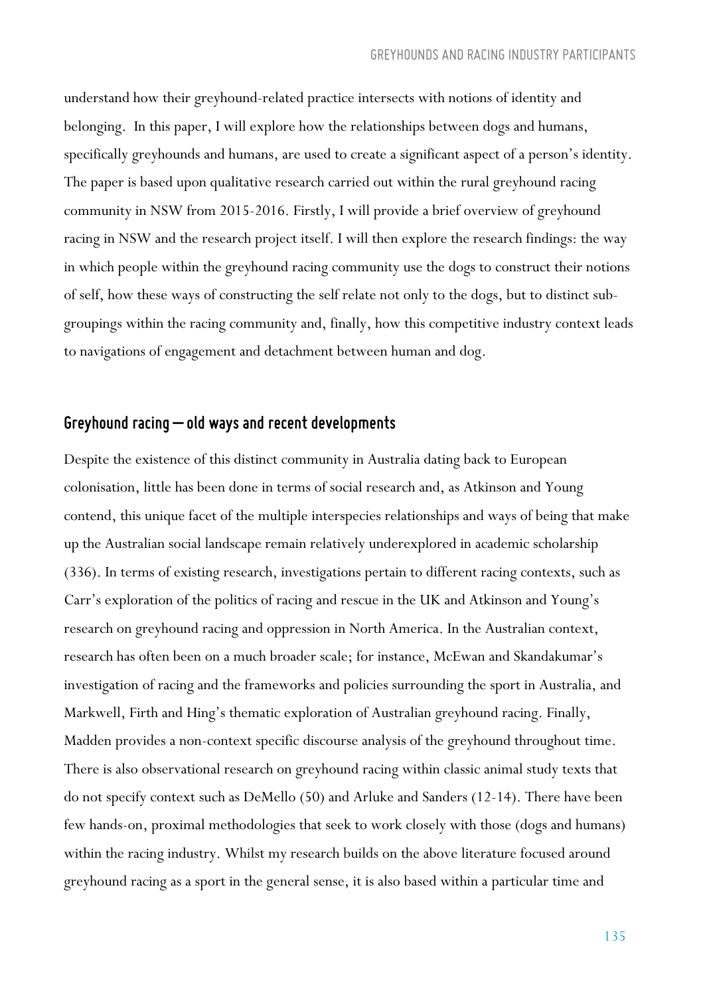understand how their greyhound-related practice intersects with notions of identity and belonging. In this paper, I will explore how the relationships between dogs and humans, specifically greyhounds and humans, are used to create a significant aspect of a person's identity. The paper is based upon qualitative research carried out within the rural greyhound racing community in NSW from 2015-2016. Firstly, I will provide a brief overview of greyhound racing in NSW and the research project itself. I will then explore the research findings: the way in which people within the greyhound racing community use the dogs to construct their notions of self, how these ways of constructing the self relate not only to the dogs, but to distinct subgroupings within the racing community and, finally, how this competitive industry context leads to navigations of engagement and detachment between human and dog.

#### *Greyhound racing – old ways and recent developments*

Despite the existence of this distinct community in Australia dating back to European colonisation, little has been done in terms of social research and, as Atkinson and Young contend, this unique facet of the multiple interspecies relationships and ways of being that make up the Australian social landscape remain relatively underexplored in academic scholarship (336). In terms of existing research, investigations pertain to different racing contexts, such as Carr's exploration of the politics of racing and rescue in the UK and Atkinson and Young's research on greyhound racing and oppression in North America. In the Australian context, research has often been on a much broader scale; for instance, McEwan and Skandakumar's investigation of racing and the frameworks and policies surrounding the sport in Australia, and Markwell, Firth and Hing's thematic exploration of Australian greyhound racing. Finally, Madden provides a non-context specific discourse analysis of the greyhound throughout time. There is also observational research on greyhound racing within classic animal study texts that do not specify context such as DeMello (50) and Arluke and Sanders (12-14). There have been few hands-on, proximal methodologies that seek to work closely with those (dogs and humans) within the racing industry. Whilst my research builds on the above literature focused around greyhound racing as a sport in the general sense, it is also based within a particular time and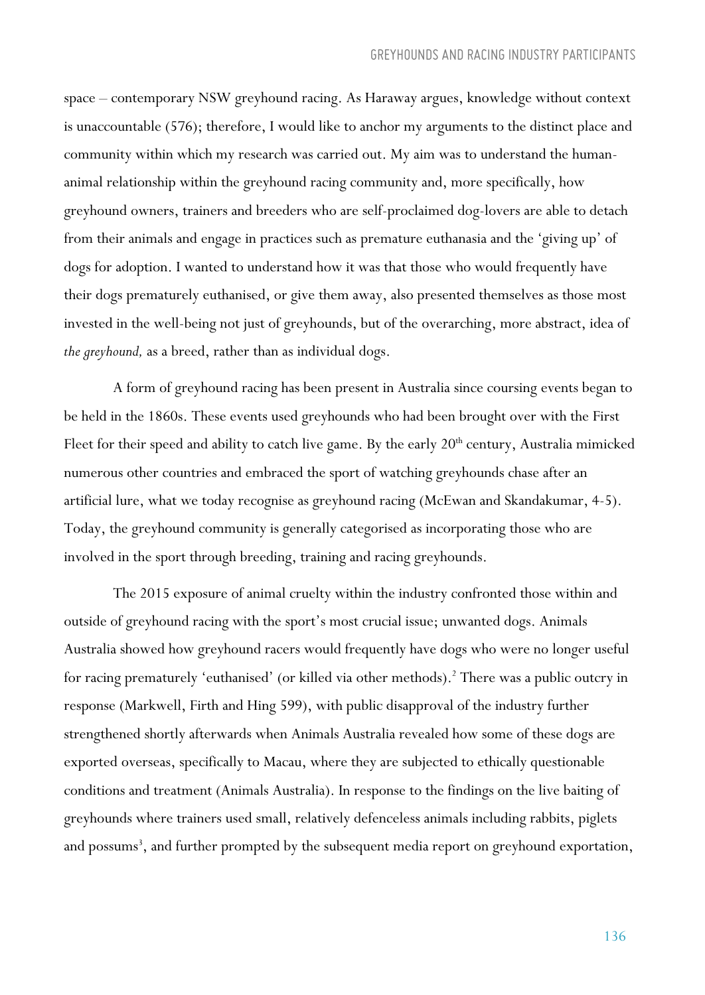space – contemporary NSW greyhound racing. As Haraway argues, knowledge without context is unaccountable (576); therefore, I would like to anchor my arguments to the distinct place and community within which my research was carried out. My aim was to understand the humananimal relationship within the greyhound racing community and, more specifically, how greyhound owners, trainers and breeders who are self-proclaimed dog-lovers are able to detach from their animals and engage in practices such as premature euthanasia and the 'giving up' of dogs for adoption. I wanted to understand how it was that those who would frequently have their dogs prematurely euthanised, or give them away, also presented themselves as those most invested in the well-being not just of greyhounds, but of the overarching, more abstract, idea of *the greyhound,* as a breed, rather than as individual dogs.

A form of greyhound racing has been present in Australia since coursing events began to be held in the 1860s. These events used greyhounds who had been brought over with the First Fleet for their speed and ability to catch live game. By the early  $20<sup>th</sup>$  century, Australia mimicked numerous other countries and embraced the sport of watching greyhounds chase after an artificial lure, what we today recognise as greyhound racing (McEwan and Skandakumar, 4-5). Today, the greyhound community is generally categorised as incorporating those who are involved in the sport through breeding, training and racing greyhounds.

The 2015 exposure of animal cruelty within the industry confronted those within and outside of greyhound racing with the sport's most crucial issue; unwanted dogs. Animals Australia showed how greyhound racers would frequently have dogs who were no longer useful for racing prematurely 'euthanised' (or killed via other methods).<sup>2</sup> There was a public outcry in response (Markwell, Firth and Hing 599), with public disapproval of the industry further strengthened shortly afterwards when Animals Australia revealed how some of these dogs are exported overseas, specifically to Macau, where they are subjected to ethically questionable conditions and treatment (Animals Australia). In response to the findings on the live baiting of greyhounds where trainers used small, relatively defenceless animals including rabbits, piglets and possums<sup>3</sup>, and further prompted by the subsequent media report on greyhound exportation,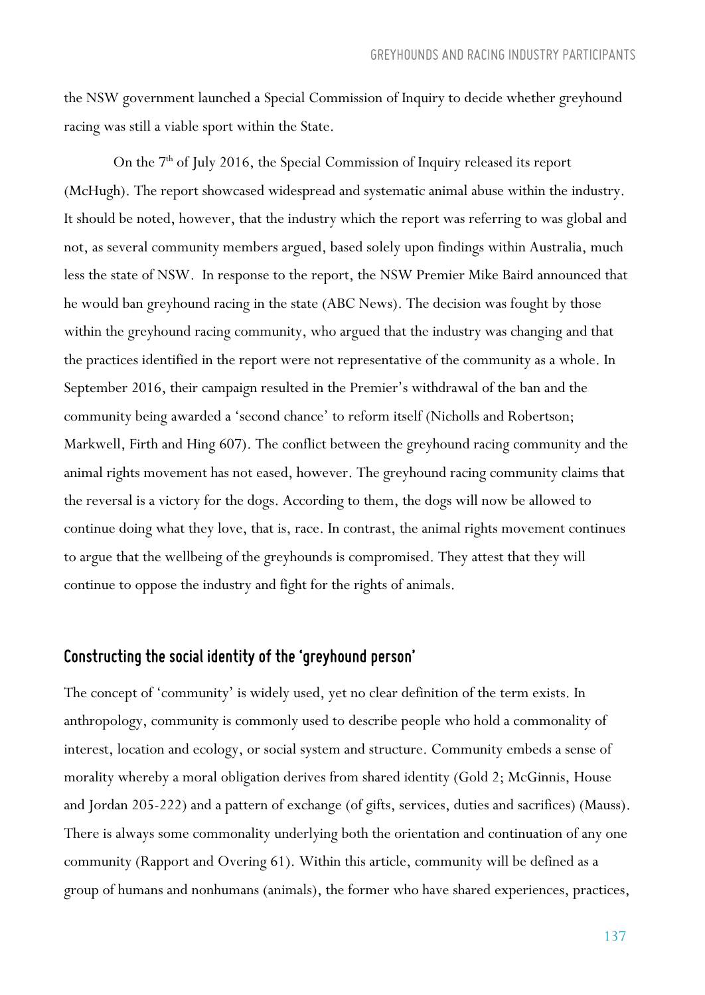the NSW government launched a Special Commission of Inquiry to decide whether greyhound racing was still a viable sport within the State.

On the 7<sup>th</sup> of July 2016, the Special Commission of Inquiry released its report (McHugh). The report showcased widespread and systematic animal abuse within the industry. It should be noted, however, that the industry which the report was referring to was global and not, as several community members argued, based solely upon findings within Australia, much less the state of NSW. In response to the report, the NSW Premier Mike Baird announced that he would ban greyhound racing in the state (ABC News). The decision was fought by those within the greyhound racing community, who argued that the industry was changing and that the practices identified in the report were not representative of the community as a whole. In September 2016, their campaign resulted in the Premier's withdrawal of the ban and the community being awarded a 'second chance' to reform itself (Nicholls and Robertson; Markwell, Firth and Hing 607). The conflict between the greyhound racing community and the animal rights movement has not eased, however. The greyhound racing community claims that the reversal is a victory for the dogs. According to them, the dogs will now be allowed to continue doing what they love, that is, race. In contrast, the animal rights movement continues to argue that the wellbeing of the greyhounds is compromised. They attest that they will continue to oppose the industry and fight for the rights of animals.

#### *Constructing the social identity of the 'greyhound person'*

The concept of 'community' is widely used, yet no clear definition of the term exists. In anthropology, community is commonly used to describe people who hold a commonality of interest, location and ecology, or social system and structure. Community embeds a sense of morality whereby a moral obligation derives from shared identity (Gold 2; McGinnis, House and Jordan 205-222) and a pattern of exchange (of gifts, services, duties and sacrifices) (Mauss). There is always some commonality underlying both the orientation and continuation of any one community (Rapport and Overing 61). Within this article, community will be defined as a group of humans and nonhumans (animals), the former who have shared experiences, practices,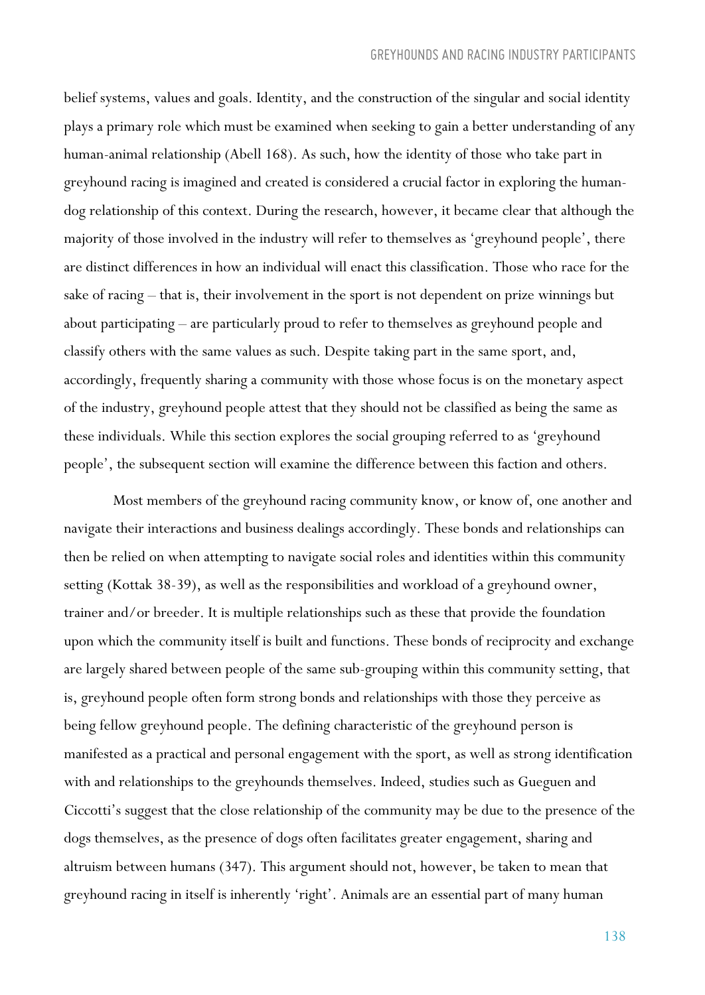belief systems, values and goals. Identity, and the construction of the singular and social identity plays a primary role which must be examined when seeking to gain a better understanding of any human-animal relationship (Abell 168). As such, how the identity of those who take part in greyhound racing is imagined and created is considered a crucial factor in exploring the humandog relationship of this context. During the research, however, it became clear that although the majority of those involved in the industry will refer to themselves as 'greyhound people', there are distinct differences in how an individual will enact this classification. Those who race for the sake of racing – that is, their involvement in the sport is not dependent on prize winnings but about participating – are particularly proud to refer to themselves as greyhound people and classify others with the same values as such. Despite taking part in the same sport, and, accordingly, frequently sharing a community with those whose focus is on the monetary aspect of the industry, greyhound people attest that they should not be classified as being the same as these individuals. While this section explores the social grouping referred to as 'greyhound people', the subsequent section will examine the difference between this faction and others.

Most members of the greyhound racing community know, or know of, one another and navigate their interactions and business dealings accordingly. These bonds and relationships can then be relied on when attempting to navigate social roles and identities within this community setting (Kottak 38-39), as well as the responsibilities and workload of a greyhound owner, trainer and/or breeder. It is multiple relationships such as these that provide the foundation upon which the community itself is built and functions. These bonds of reciprocity and exchange are largely shared between people of the same sub-grouping within this community setting, that is, greyhound people often form strong bonds and relationships with those they perceive as being fellow greyhound people. The defining characteristic of the greyhound person is manifested as a practical and personal engagement with the sport, as well as strong identification with and relationships to the greyhounds themselves. Indeed, studies such as Gueguen and Ciccotti's suggest that the close relationship of the community may be due to the presence of the dogs themselves, as the presence of dogs often facilitates greater engagement, sharing and altruism between humans (347). This argument should not, however, be taken to mean that greyhound racing in itself is inherently 'right'. Animals are an essential part of many human

138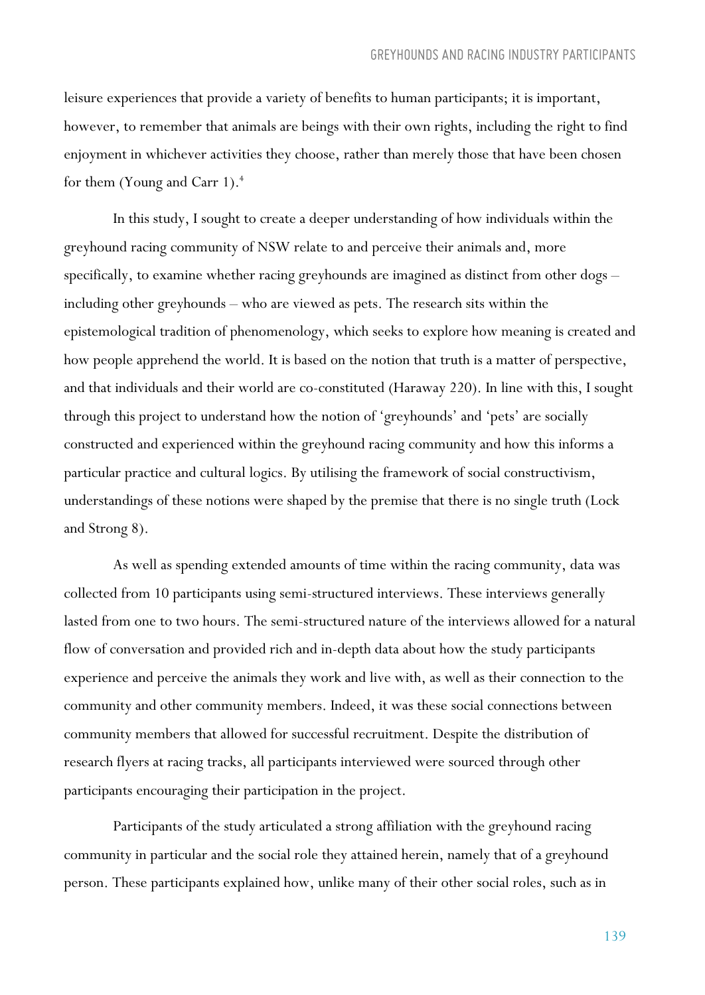leisure experiences that provide a variety of benefits to human participants; it is important, however, to remember that animals are beings with their own rights, including the right to find enjoyment in whichever activities they choose, rather than merely those that have been chosen for them (Young and Carr 1).<sup>4</sup>

In this study, I sought to create a deeper understanding of how individuals within the greyhound racing community of NSW relate to and perceive their animals and, more specifically, to examine whether racing greyhounds are imagined as distinct from other dogs – including other greyhounds – who are viewed as pets. The research sits within the epistemological tradition of phenomenology, which seeks to explore how meaning is created and how people apprehend the world. It is based on the notion that truth is a matter of perspective, and that individuals and their world are co-constituted (Haraway 220). In line with this, I sought through this project to understand how the notion of 'greyhounds' and 'pets' are socially constructed and experienced within the greyhound racing community and how this informs a particular practice and cultural logics. By utilising the framework of social constructivism, understandings of these notions were shaped by the premise that there is no single truth (Lock and Strong 8).

As well as spending extended amounts of time within the racing community, data was collected from 10 participants using semi-structured interviews. These interviews generally lasted from one to two hours. The semi-structured nature of the interviews allowed for a natural flow of conversation and provided rich and in-depth data about how the study participants experience and perceive the animals they work and live with, as well as their connection to the community and other community members. Indeed, it was these social connections between community members that allowed for successful recruitment. Despite the distribution of research flyers at racing tracks, all participants interviewed were sourced through other participants encouraging their participation in the project.

Participants of the study articulated a strong affiliation with the greyhound racing community in particular and the social role they attained herein, namely that of a greyhound person. These participants explained how, unlike many of their other social roles, such as in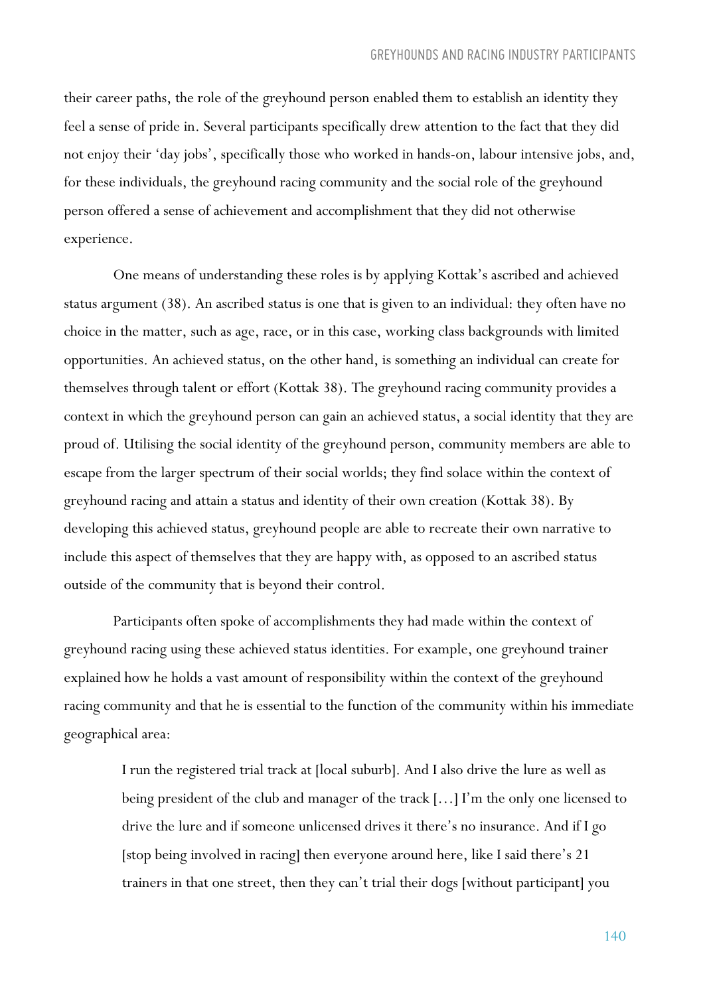their career paths, the role of the greyhound person enabled them to establish an identity they feel a sense of pride in. Several participants specifically drew attention to the fact that they did not enjoy their 'day jobs', specifically those who worked in hands-on, labour intensive jobs, and, for these individuals, the greyhound racing community and the social role of the greyhound person offered a sense of achievement and accomplishment that they did not otherwise experience.

One means of understanding these roles is by applying Kottak's ascribed and achieved status argument (38). An ascribed status is one that is given to an individual: they often have no choice in the matter, such as age, race, or in this case, working class backgrounds with limited opportunities. An achieved status, on the other hand, is something an individual can create for themselves through talent or effort (Kottak 38). The greyhound racing community provides a context in which the greyhound person can gain an achieved status, a social identity that they are proud of. Utilising the social identity of the greyhound person, community members are able to escape from the larger spectrum of their social worlds; they find solace within the context of greyhound racing and attain a status and identity of their own creation (Kottak 38). By developing this achieved status, greyhound people are able to recreate their own narrative to include this aspect of themselves that they are happy with, as opposed to an ascribed status outside of the community that is beyond their control.

Participants often spoke of accomplishments they had made within the context of greyhound racing using these achieved status identities. For example, one greyhound trainer explained how he holds a vast amount of responsibility within the context of the greyhound racing community and that he is essential to the function of the community within his immediate geographical area:

I run the registered trial track at [local suburb]. And I also drive the lure as well as being president of the club and manager of the track […] I'm the only one licensed to drive the lure and if someone unlicensed drives it there's no insurance. And if I go [stop being involved in racing] then everyone around here, like I said there's 21 trainers in that one street, then they can't trial their dogs [without participant] you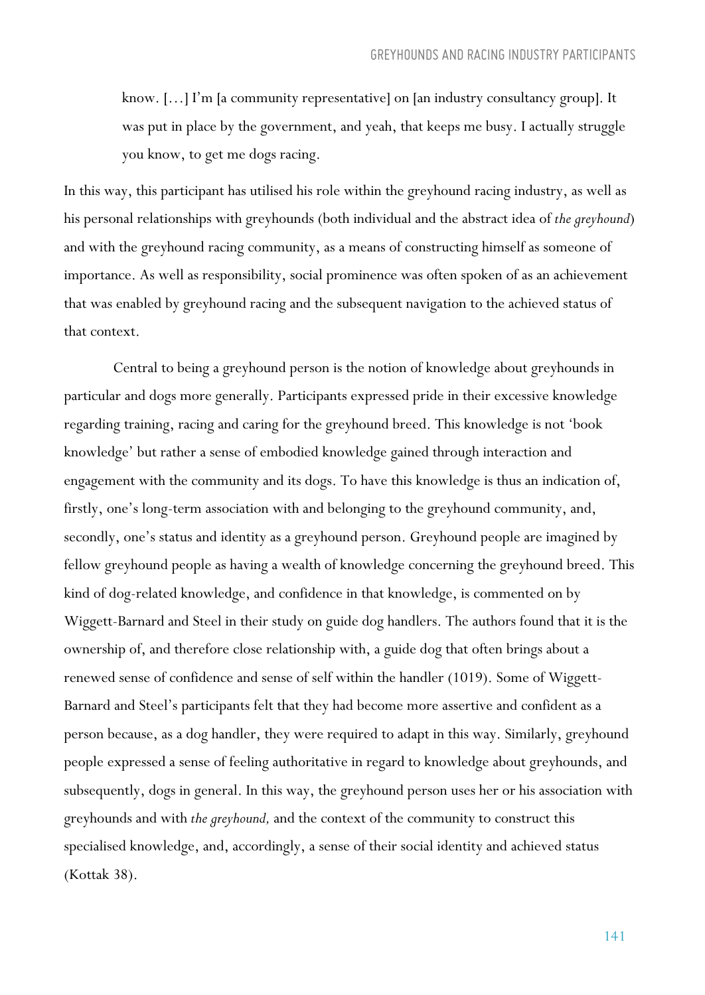know. […] I'm [a community representative] on [an industry consultancy group]. It was put in place by the government, and yeah, that keeps me busy. I actually struggle you know, to get me dogs racing.

In this way, this participant has utilised his role within the greyhound racing industry, as well as his personal relationships with greyhounds (both individual and the abstract idea of *the greyhound*) and with the greyhound racing community, as a means of constructing himself as someone of importance. As well as responsibility, social prominence was often spoken of as an achievement that was enabled by greyhound racing and the subsequent navigation to the achieved status of that context.

Central to being a greyhound person is the notion of knowledge about greyhounds in particular and dogs more generally. Participants expressed pride in their excessive knowledge regarding training, racing and caring for the greyhound breed. This knowledge is not 'book knowledge' but rather a sense of embodied knowledge gained through interaction and engagement with the community and its dogs. To have this knowledge is thus an indication of, firstly, one's long-term association with and belonging to the greyhound community, and, secondly, one's status and identity as a greyhound person. Greyhound people are imagined by fellow greyhound people as having a wealth of knowledge concerning the greyhound breed. This kind of dog-related knowledge, and confidence in that knowledge, is commented on by Wiggett-Barnard and Steel in their study on guide dog handlers. The authors found that it is the ownership of, and therefore close relationship with, a guide dog that often brings about a renewed sense of confidence and sense of self within the handler (1019). Some of Wiggett-Barnard and Steel's participants felt that they had become more assertive and confident as a person because, as a dog handler, they were required to adapt in this way. Similarly, greyhound people expressed a sense of feeling authoritative in regard to knowledge about greyhounds, and subsequently, dogs in general. In this way, the greyhound person uses her or his association with greyhounds and with *the greyhound,* and the context of the community to construct this specialised knowledge, and, accordingly, a sense of their social identity and achieved status (Kottak 38).

141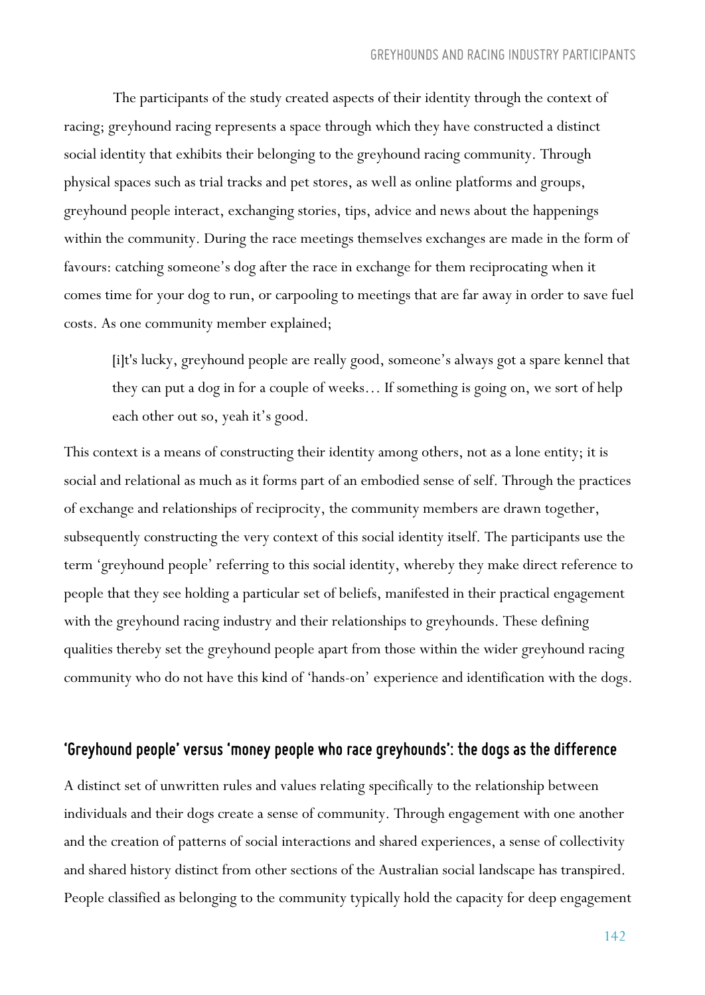The participants of the study created aspects of their identity through the context of racing; greyhound racing represents a space through which they have constructed a distinct social identity that exhibits their belonging to the greyhound racing community. Through physical spaces such as trial tracks and pet stores, as well as online platforms and groups, greyhound people interact, exchanging stories, tips, advice and news about the happenings within the community. During the race meetings themselves exchanges are made in the form of favours: catching someone's dog after the race in exchange for them reciprocating when it comes time for your dog to run, or carpooling to meetings that are far away in order to save fuel costs. As one community member explained;

[i]t's lucky, greyhound people are really good, someone's always got a spare kennel that they can put a dog in for a couple of weeks… If something is going on, we sort of help each other out so, yeah it's good.

This context is a means of constructing their identity among others, not as a lone entity; it is social and relational as much as it forms part of an embodied sense of self. Through the practices of exchange and relationships of reciprocity, the community members are drawn together, subsequently constructing the very context of this social identity itself. The participants use the term 'greyhound people' referring to this social identity, whereby they make direct reference to people that they see holding a particular set of beliefs, manifested in their practical engagement with the greyhound racing industry and their relationships to greyhounds. These defining qualities thereby set the greyhound people apart from those within the wider greyhound racing community who do not have this kind of 'hands-on' experience and identification with the dogs.

#### *'Greyhound people' versus 'money people who race greyhounds': the dogs as the difference*

A distinct set of unwritten rules and values relating specifically to the relationship between individuals and their dogs create a sense of community. Through engagement with one another and the creation of patterns of social interactions and shared experiences, a sense of collectivity and shared history distinct from other sections of the Australian social landscape has transpired. People classified as belonging to the community typically hold the capacity for deep engagement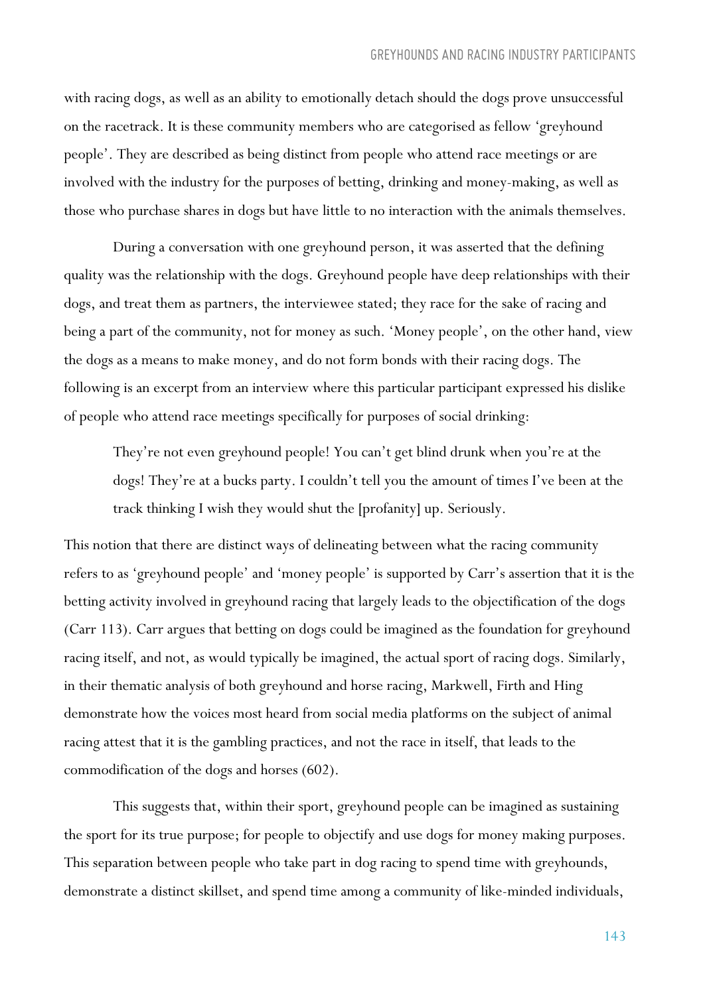with racing dogs, as well as an ability to emotionally detach should the dogs prove unsuccessful on the racetrack. It is these community members who are categorised as fellow 'greyhound people'. They are described as being distinct from people who attend race meetings or are involved with the industry for the purposes of betting, drinking and money-making, as well as those who purchase shares in dogs but have little to no interaction with the animals themselves.

During a conversation with one greyhound person, it was asserted that the defining quality was the relationship with the dogs. Greyhound people have deep relationships with their dogs, and treat them as partners, the interviewee stated; they race for the sake of racing and being a part of the community, not for money as such. 'Money people', on the other hand, view the dogs as a means to make money, and do not form bonds with their racing dogs. The following is an excerpt from an interview where this particular participant expressed his dislike of people who attend race meetings specifically for purposes of social drinking:

They're not even greyhound people! You can't get blind drunk when you're at the dogs! They're at a bucks party. I couldn't tell you the amount of times I've been at the track thinking I wish they would shut the [profanity] up. Seriously.

This notion that there are distinct ways of delineating between what the racing community refers to as 'greyhound people' and 'money people' is supported by Carr's assertion that it is the betting activity involved in greyhound racing that largely leads to the objectification of the dogs (Carr 113). Carr argues that betting on dogs could be imagined as the foundation for greyhound racing itself, and not, as would typically be imagined, the actual sport of racing dogs. Similarly, in their thematic analysis of both greyhound and horse racing, Markwell, Firth and Hing demonstrate how the voices most heard from social media platforms on the subject of animal racing attest that it is the gambling practices, and not the race in itself, that leads to the commodification of the dogs and horses (602).

This suggests that, within their sport, greyhound people can be imagined as sustaining the sport for its true purpose; for people to objectify and use dogs for money making purposes. This separation between people who take part in dog racing to spend time with greyhounds, demonstrate a distinct skillset, and spend time among a community of like-minded individuals,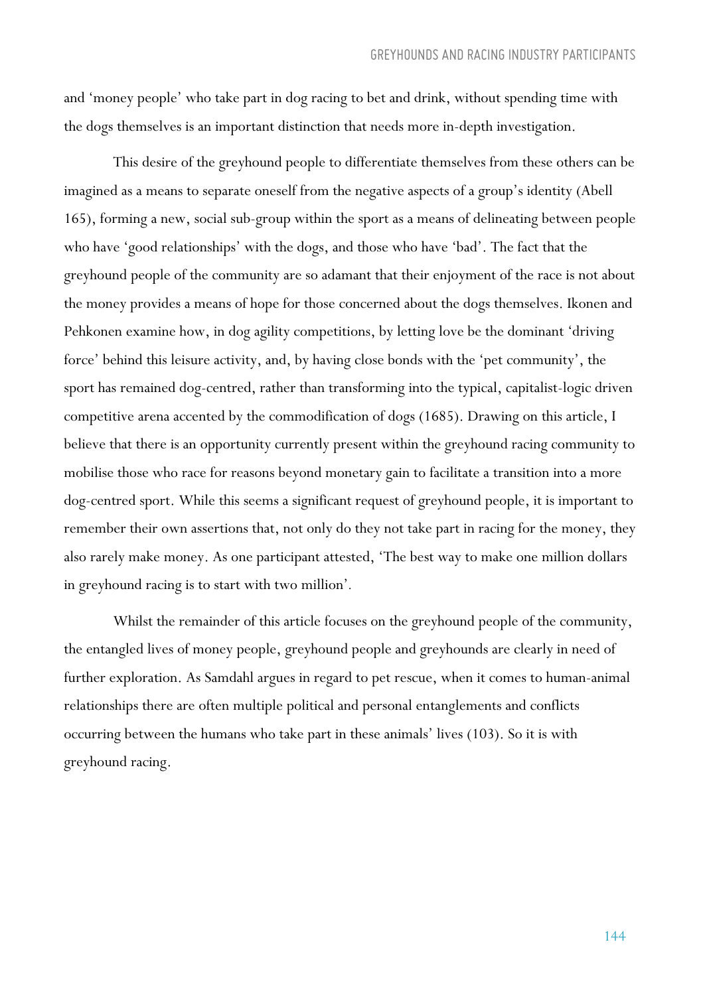and 'money people' who take part in dog racing to bet and drink, without spending time with the dogs themselves is an important distinction that needs more in-depth investigation.

This desire of the greyhound people to differentiate themselves from these others can be imagined as a means to separate oneself from the negative aspects of a group's identity (Abell 165), forming a new, social sub-group within the sport as a means of delineating between people who have 'good relationships' with the dogs, and those who have 'bad'. The fact that the greyhound people of the community are so adamant that their enjoyment of the race is not about the money provides a means of hope for those concerned about the dogs themselves. Ikonen and Pehkonen examine how, in dog agility competitions, by letting love be the dominant 'driving force' behind this leisure activity, and, by having close bonds with the 'pet community', the sport has remained dog-centred, rather than transforming into the typical, capitalist-logic driven competitive arena accented by the commodification of dogs (1685). Drawing on this article, I believe that there is an opportunity currently present within the greyhound racing community to mobilise those who race for reasons beyond monetary gain to facilitate a transition into a more dog-centred sport. While this seems a significant request of greyhound people, it is important to remember their own assertions that, not only do they not take part in racing for the money, they also rarely make money. As one participant attested, 'The best way to make one million dollars in greyhound racing is to start with two million'*.*

Whilst the remainder of this article focuses on the greyhound people of the community, the entangled lives of money people, greyhound people and greyhounds are clearly in need of further exploration. As Samdahl argues in regard to pet rescue, when it comes to human-animal relationships there are often multiple political and personal entanglements and conflicts occurring between the humans who take part in these animals' lives (103). So it is with greyhound racing.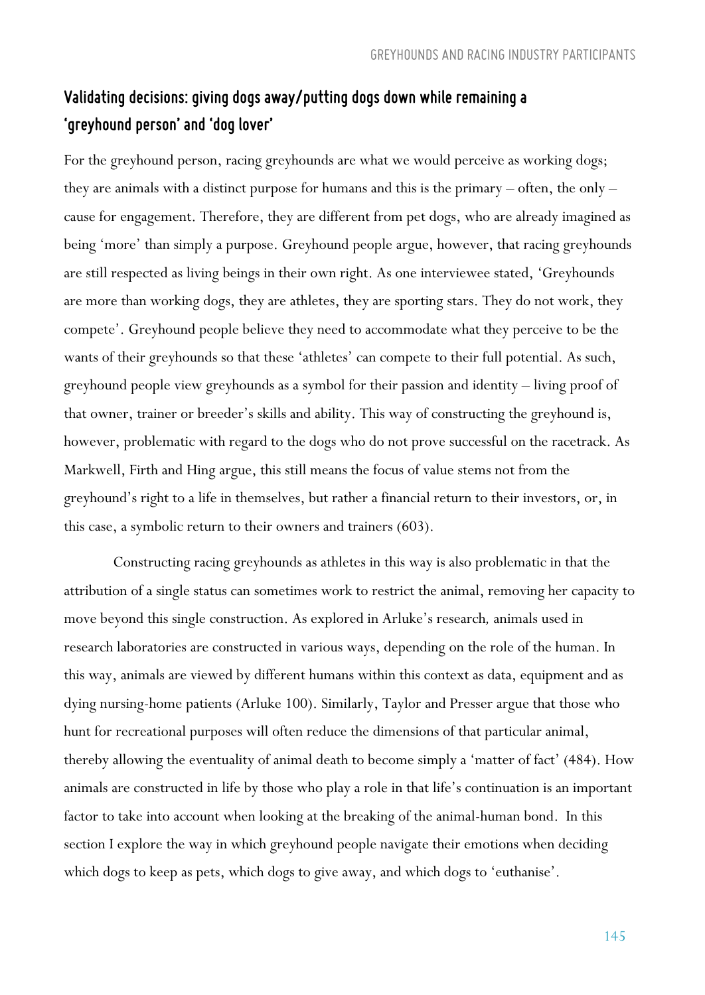## *Validating decisions: giving dogs away/putting dogs down while remaining a 'greyhound person' and 'dog lover'*

For the greyhound person, racing greyhounds are what we would perceive as working dogs; they are animals with a distinct purpose for humans and this is the primary – often, the only – cause for engagement. Therefore, they are different from pet dogs, who are already imagined as being 'more' than simply a purpose. Greyhound people argue, however, that racing greyhounds are still respected as living beings in their own right. As one interviewee stated, 'Greyhounds are more than working dogs, they are athletes, they are sporting stars. They do not work, they compete'. Greyhound people believe they need to accommodate what they perceive to be the wants of their greyhounds so that these 'athletes' can compete to their full potential. As such, greyhound people view greyhounds as a symbol for their passion and identity – living proof of that owner, trainer or breeder's skills and ability. This way of constructing the greyhound is, however, problematic with regard to the dogs who do not prove successful on the racetrack. As Markwell, Firth and Hing argue, this still means the focus of value stems not from the greyhound's right to a life in themselves, but rather a financial return to their investors, or, in this case, a symbolic return to their owners and trainers (603).

Constructing racing greyhounds as athletes in this way is also problematic in that the attribution of a single status can sometimes work to restrict the animal, removing her capacity to move beyond this single construction. As explored in Arluke's research*,* animals used in research laboratories are constructed in various ways, depending on the role of the human. In this way, animals are viewed by different humans within this context as data, equipment and as dying nursing-home patients (Arluke 100). Similarly, Taylor and Presser argue that those who hunt for recreational purposes will often reduce the dimensions of that particular animal, thereby allowing the eventuality of animal death to become simply a 'matter of fact' (484). How animals are constructed in life by those who play a role in that life's continuation is an important factor to take into account when looking at the breaking of the animal-human bond. In this section I explore the way in which greyhound people navigate their emotions when deciding which dogs to keep as pets, which dogs to give away, and which dogs to 'euthanise'.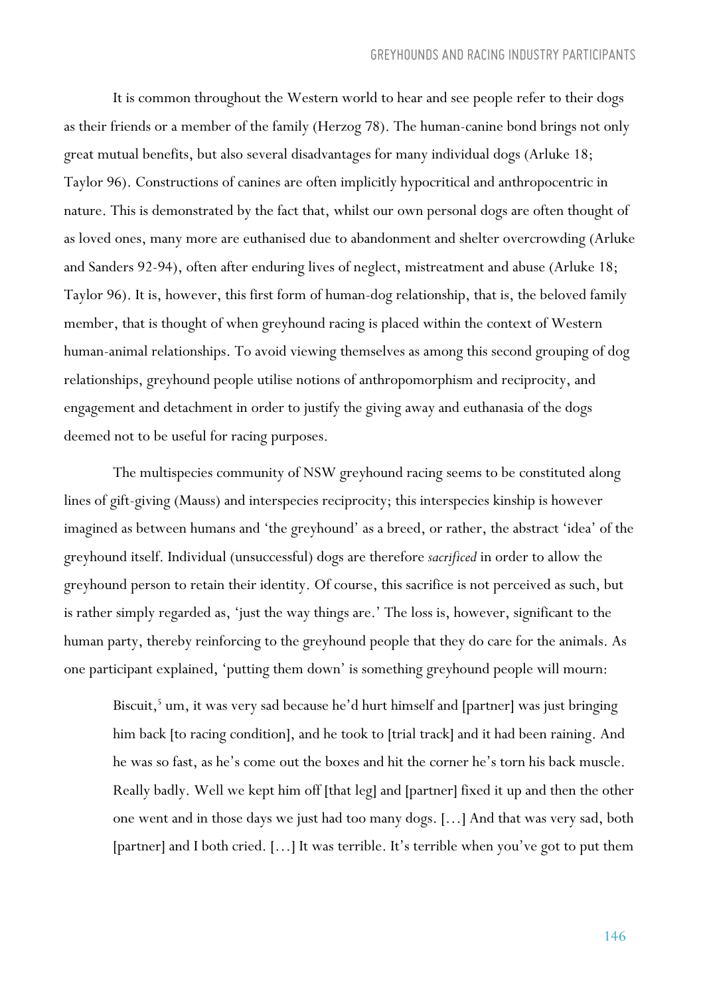It is common throughout the Western world to hear and see people refer to their dogs as their friends or a member of the family (Herzog 78). The human-canine bond brings not only great mutual benefits, but also several disadvantages for many individual dogs (Arluke 18; Taylor 96). Constructions of canines are often implicitly hypocritical and anthropocentric in nature. This is demonstrated by the fact that, whilst our own personal dogs are often thought of as loved ones, many more are euthanised due to abandonment and shelter overcrowding (Arluke and Sanders 92-94), often after enduring lives of neglect, mistreatment and abuse (Arluke 18; Taylor 96). It is, however, this first form of human-dog relationship, that is, the beloved family member, that is thought of when greyhound racing is placed within the context of Western human-animal relationships. To avoid viewing themselves as among this second grouping of dog relationships, greyhound people utilise notions of anthropomorphism and reciprocity, and engagement and detachment in order to justify the giving away and euthanasia of the dogs deemed not to be useful for racing purposes.

The multispecies community of NSW greyhound racing seems to be constituted along lines of gift-giving (Mauss) and interspecies reciprocity; this interspecies kinship is however imagined as between humans and 'the greyhound' as a breed, or rather, the abstract 'idea' of the greyhound itself. Individual (unsuccessful) dogs are therefore *sacrificed* in order to allow the greyhound person to retain their identity. Of course, this sacrifice is not perceived as such, but is rather simply regarded as, 'just the way things are.' The loss is, however, significant to the human party, thereby reinforcing to the greyhound people that they do care for the animals. As one participant explained, 'putting them down' is something greyhound people will mourn:

Biscuit,<sup>5</sup> um, it was very sad because he'd hurt himself and [partner] was just bringing him back [to racing condition], and he took to [trial track] and it had been raining. And he was so fast, as he's come out the boxes and hit the corner he's torn his back muscle. Really badly. Well we kept him off [that leg] and [partner] fixed it up and then the other one went and in those days we just had too many dogs. […] And that was very sad, both [partner] and I both cried. […] It was terrible. It's terrible when you've got to put them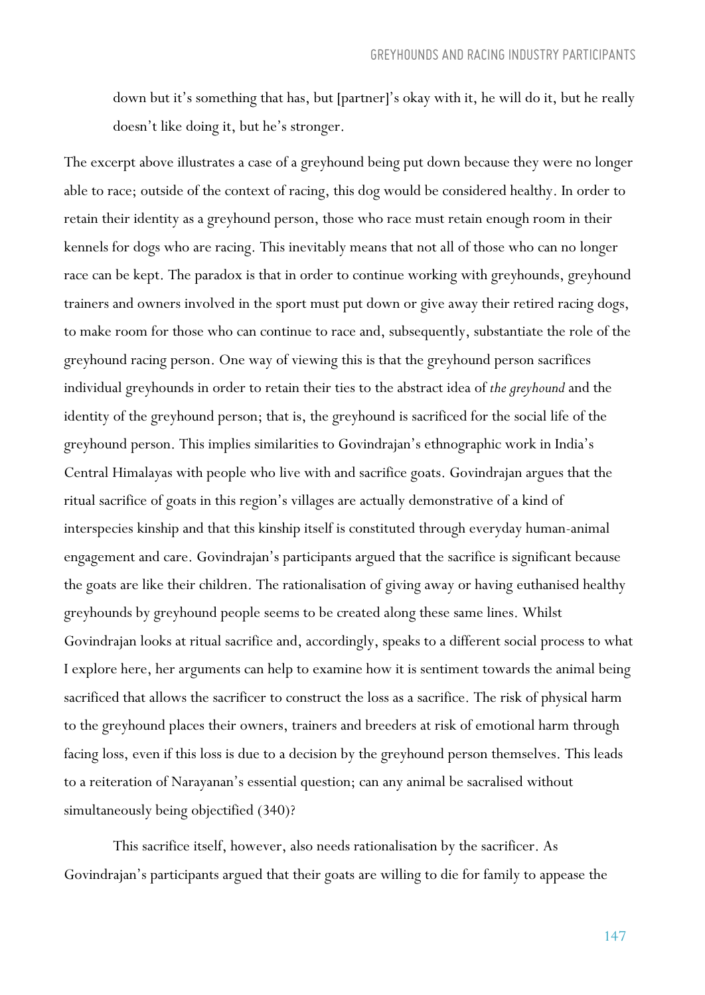down but it's something that has, but [partner]'s okay with it, he will do it, but he really doesn't like doing it, but he's stronger.

The excerpt above illustrates a case of a greyhound being put down because they were no longer able to race; outside of the context of racing, this dog would be considered healthy. In order to retain their identity as a greyhound person, those who race must retain enough room in their kennels for dogs who are racing. This inevitably means that not all of those who can no longer race can be kept. The paradox is that in order to continue working with greyhounds, greyhound trainers and owners involved in the sport must put down or give away their retired racing dogs, to make room for those who can continue to race and, subsequently, substantiate the role of the greyhound racing person. One way of viewing this is that the greyhound person sacrifices individual greyhounds in order to retain their ties to the abstract idea of *the greyhound* and the identity of the greyhound person; that is, the greyhound is sacrificed for the social life of the greyhound person. This implies similarities to Govindrajan's ethnographic work in India's Central Himalayas with people who live with and sacrifice goats. Govindrajan argues that the ritual sacrifice of goats in this region's villages are actually demonstrative of a kind of interspecies kinship and that this kinship itself is constituted through everyday human-animal engagement and care. Govindrajan's participants argued that the sacrifice is significant because the goats are like their children. The rationalisation of giving away or having euthanised healthy greyhounds by greyhound people seems to be created along these same lines. Whilst Govindrajan looks at ritual sacrifice and, accordingly, speaks to a different social process to what I explore here, her arguments can help to examine how it is sentiment towards the animal being sacrificed that allows the sacrificer to construct the loss as a sacrifice. The risk of physical harm to the greyhound places their owners, trainers and breeders at risk of emotional harm through facing loss, even if this loss is due to a decision by the greyhound person themselves. This leads to a reiteration of Narayanan's essential question; can any animal be sacralised without simultaneously being objectified (340)?

This sacrifice itself, however, also needs rationalisation by the sacrificer. As Govindrajan's participants argued that their goats are willing to die for family to appease the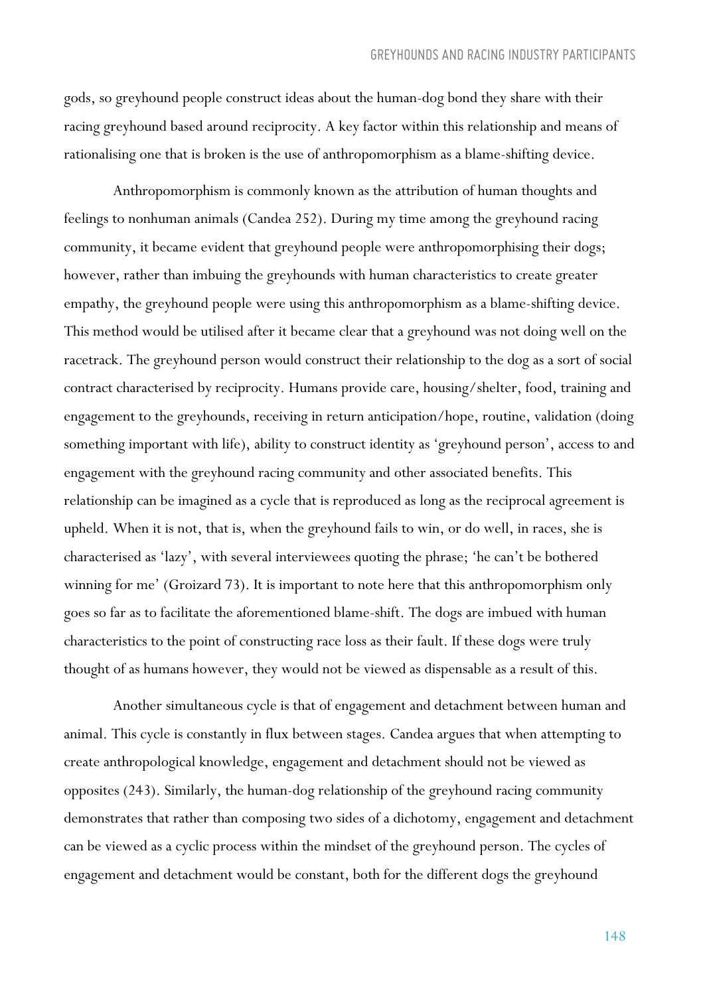gods, so greyhound people construct ideas about the human-dog bond they share with their racing greyhound based around reciprocity. A key factor within this relationship and means of rationalising one that is broken is the use of anthropomorphism as a blame-shifting device.

Anthropomorphism is commonly known as the attribution of human thoughts and feelings to nonhuman animals (Candea 252). During my time among the greyhound racing community, it became evident that greyhound people were anthropomorphising their dogs; however, rather than imbuing the greyhounds with human characteristics to create greater empathy, the greyhound people were using this anthropomorphism as a blame-shifting device. This method would be utilised after it became clear that a greyhound was not doing well on the racetrack. The greyhound person would construct their relationship to the dog as a sort of social contract characterised by reciprocity. Humans provide care, housing/shelter, food, training and engagement to the greyhounds, receiving in return anticipation/hope, routine, validation (doing something important with life), ability to construct identity as 'greyhound person', access to and engagement with the greyhound racing community and other associated benefits. This relationship can be imagined as a cycle that is reproduced as long as the reciprocal agreement is upheld. When it is not, that is, when the greyhound fails to win, or do well, in races, she is characterised as 'lazy', with several interviewees quoting the phrase; 'he can't be bothered winning for me' (Groizard 73). It is important to note here that this anthropomorphism only goes so far as to facilitate the aforementioned blame-shift. The dogs are imbued with human characteristics to the point of constructing race loss as their fault. If these dogs were truly thought of as humans however, they would not be viewed as dispensable as a result of this.

Another simultaneous cycle is that of engagement and detachment between human and animal. This cycle is constantly in flux between stages. Candea argues that when attempting to create anthropological knowledge, engagement and detachment should not be viewed as opposites (243). Similarly, the human-dog relationship of the greyhound racing community demonstrates that rather than composing two sides of a dichotomy, engagement and detachment can be viewed as a cyclic process within the mindset of the greyhound person. The cycles of engagement and detachment would be constant, both for the different dogs the greyhound

148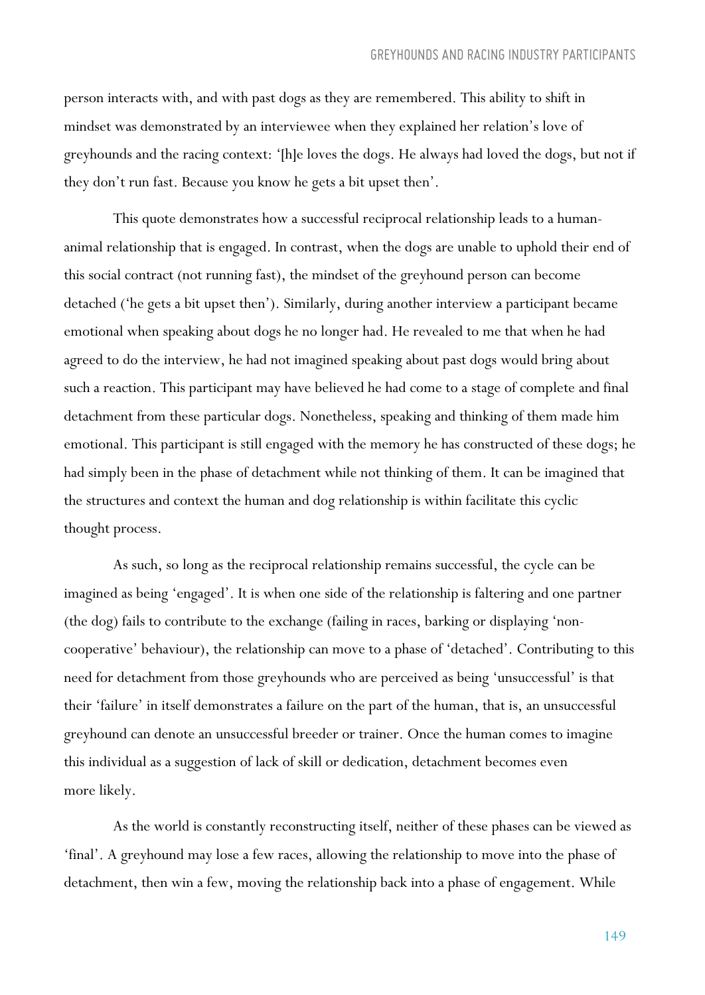person interacts with, and with past dogs as they are remembered. This ability to shift in mindset was demonstrated by an interviewee when they explained her relation's love of greyhounds and the racing context: '[h]e loves the dogs. He always had loved the dogs, but not if they don't run fast. Because you know he gets a bit upset then'.

This quote demonstrates how a successful reciprocal relationship leads to a humananimal relationship that is engaged. In contrast, when the dogs are unable to uphold their end of this social contract (not running fast), the mindset of the greyhound person can become detached ('he gets a bit upset then'). Similarly, during another interview a participant became emotional when speaking about dogs he no longer had. He revealed to me that when he had agreed to do the interview, he had not imagined speaking about past dogs would bring about such a reaction. This participant may have believed he had come to a stage of complete and final detachment from these particular dogs. Nonetheless, speaking and thinking of them made him emotional. This participant is still engaged with the memory he has constructed of these dogs; he had simply been in the phase of detachment while not thinking of them. It can be imagined that the structures and context the human and dog relationship is within facilitate this cyclic thought process.

As such, so long as the reciprocal relationship remains successful, the cycle can be imagined as being 'engaged'. It is when one side of the relationship is faltering and one partner (the dog) fails to contribute to the exchange (failing in races, barking or displaying 'noncooperative' behaviour), the relationship can move to a phase of 'detached'. Contributing to this need for detachment from those greyhounds who are perceived as being 'unsuccessful' is that their 'failure' in itself demonstrates a failure on the part of the human, that is, an unsuccessful greyhound can denote an unsuccessful breeder or trainer. Once the human comes to imagine this individual as a suggestion of lack of skill or dedication, detachment becomes even more likely.

As the world is constantly reconstructing itself, neither of these phases can be viewed as 'final'. A greyhound may lose a few races, allowing the relationship to move into the phase of detachment, then win a few, moving the relationship back into a phase of engagement. While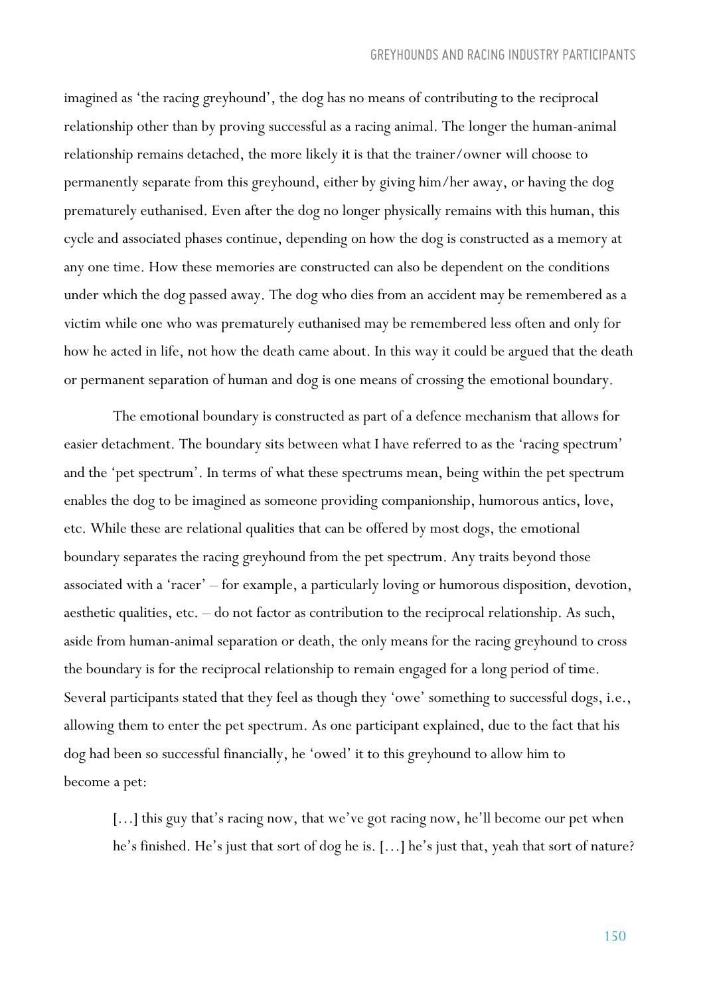imagined as 'the racing greyhound', the dog has no means of contributing to the reciprocal relationship other than by proving successful as a racing animal. The longer the human-animal relationship remains detached, the more likely it is that the trainer/owner will choose to permanently separate from this greyhound, either by giving him/her away, or having the dog prematurely euthanised. Even after the dog no longer physically remains with this human, this cycle and associated phases continue, depending on how the dog is constructed as a memory at any one time. How these memories are constructed can also be dependent on the conditions under which the dog passed away. The dog who dies from an accident may be remembered as a victim while one who was prematurely euthanised may be remembered less often and only for how he acted in life, not how the death came about. In this way it could be argued that the death or permanent separation of human and dog is one means of crossing the emotional boundary.

The emotional boundary is constructed as part of a defence mechanism that allows for easier detachment. The boundary sits between what I have referred to as the 'racing spectrum' and the 'pet spectrum'. In terms of what these spectrums mean, being within the pet spectrum enables the dog to be imagined as someone providing companionship, humorous antics, love, etc. While these are relational qualities that can be offered by most dogs, the emotional boundary separates the racing greyhound from the pet spectrum. Any traits beyond those associated with a 'racer' – for example, a particularly loving or humorous disposition, devotion, aesthetic qualities, etc. – do not factor as contribution to the reciprocal relationship. As such, aside from human-animal separation or death, the only means for the racing greyhound to cross the boundary is for the reciprocal relationship to remain engaged for a long period of time. Several participants stated that they feel as though they 'owe' something to successful dogs, i.e., allowing them to enter the pet spectrum. As one participant explained, due to the fact that his dog had been so successful financially, he 'owed' it to this greyhound to allow him to become a pet:

[...] this guy that's racing now, that we've got racing now, he'll become our pet when he's finished. He's just that sort of dog he is. […] he's just that, yeah that sort of nature?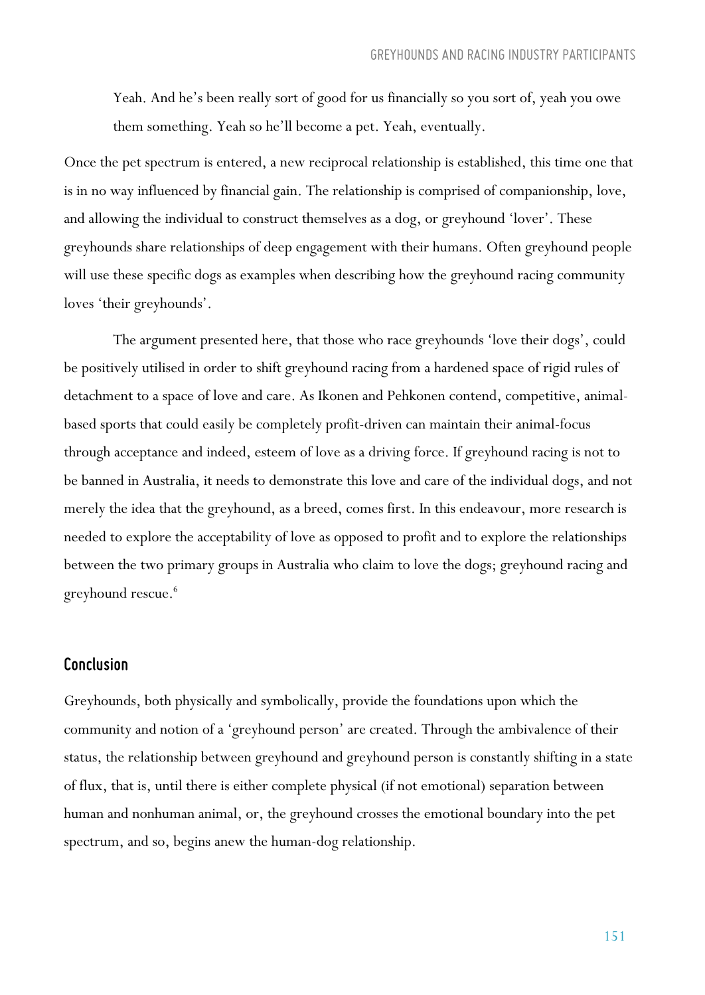Yeah. And he's been really sort of good for us financially so you sort of, yeah you owe them something. Yeah so he'll become a pet. Yeah, eventually.

Once the pet spectrum is entered, a new reciprocal relationship is established, this time one that is in no way influenced by financial gain. The relationship is comprised of companionship, love, and allowing the individual to construct themselves as a dog, or greyhound 'lover'. These greyhounds share relationships of deep engagement with their humans. Often greyhound people will use these specific dogs as examples when describing how the greyhound racing community loves 'their greyhounds'.

The argument presented here, that those who race greyhounds 'love their dogs', could be positively utilised in order to shift greyhound racing from a hardened space of rigid rules of detachment to a space of love and care. As Ikonen and Pehkonen contend, competitive, animalbased sports that could easily be completely profit-driven can maintain their animal-focus through acceptance and indeed, esteem of love as a driving force. If greyhound racing is not to be banned in Australia, it needs to demonstrate this love and care of the individual dogs, and not merely the idea that the greyhound, as a breed, comes first. In this endeavour, more research is needed to explore the acceptability of love as opposed to profit and to explore the relationships between the two primary groups in Australia who claim to love the dogs; greyhound racing and greyhound rescue.<sup>6</sup>

#### *Conclusion*

Greyhounds, both physically and symbolically, provide the foundations upon which the community and notion of a 'greyhound person' are created. Through the ambivalence of their status, the relationship between greyhound and greyhound person is constantly shifting in a state of flux, that is, until there is either complete physical (if not emotional) separation between human and nonhuman animal, or, the greyhound crosses the emotional boundary into the pet spectrum, and so, begins anew the human-dog relationship.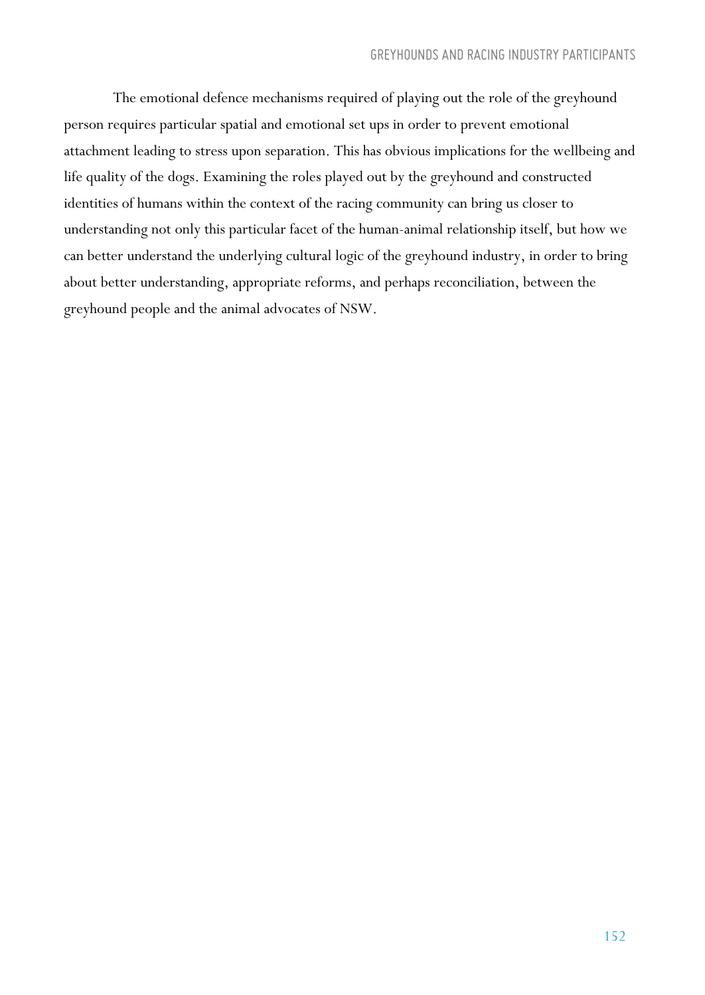The emotional defence mechanisms required of playing out the role of the greyhound person requires particular spatial and emotional set ups in order to prevent emotional attachment leading to stress upon separation. This has obvious implications for the wellbeing and life quality of the dogs. Examining the roles played out by the greyhound and constructed identities of humans within the context of the racing community can bring us closer to understanding not only this particular facet of the human-animal relationship itself, but how we can better understand the underlying cultural logic of the greyhound industry, in order to bring about better understanding, appropriate reforms, and perhaps reconciliation, between the greyhound people and the animal advocates of NSW.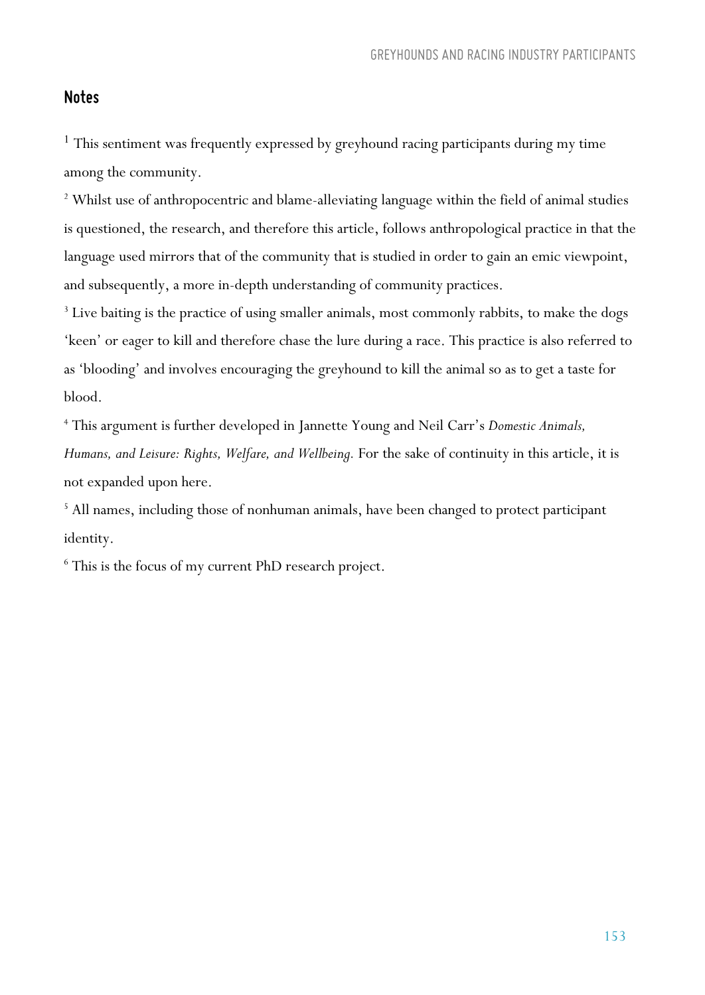#### *Notes*

<sup>1</sup> This sentiment was frequently expressed by greyhound racing participants during my time among the community.

<sup>2</sup> Whilst use of anthropocentric and blame-alleviating language within the field of animal studies is questioned, the research, and therefore this article, follows anthropological practice in that the language used mirrors that of the community that is studied in order to gain an emic viewpoint, and subsequently, a more in-depth understanding of community practices.

<sup>3</sup> Live baiting is the practice of using smaller animals, most commonly rabbits, to make the dogs 'keen' or eager to kill and therefore chase the lure during a race. This practice is also referred to as 'blooding' and involves encouraging the greyhound to kill the animal so as to get a taste for blood.

<sup>4</sup> This argument is further developed in Jannette Young and Neil Carr's *Domestic Animals, Humans, and Leisure: Rights, Welfare, and Wellbeing.* For the sake of continuity in this article, it is not expanded upon here.

<sup>5</sup> All names, including those of nonhuman animals, have been changed to protect participant identity.

<sup>6</sup> This is the focus of my current PhD research project.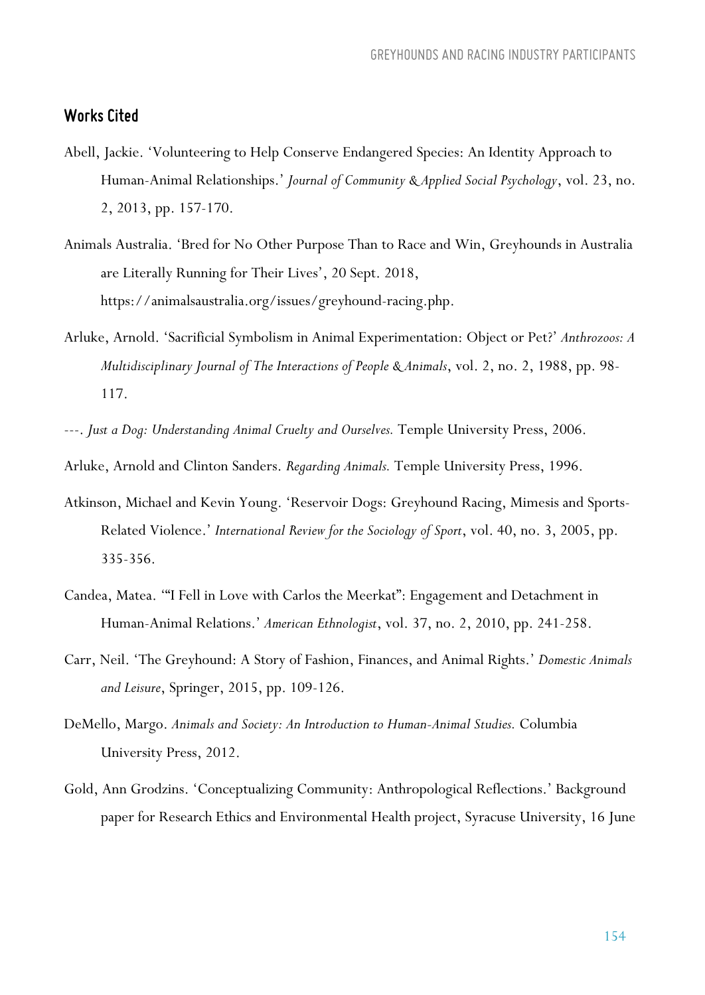#### *Works Cited*

- Abell, Jackie. 'Volunteering to Help Conserve Endangered Species: An Identity Approach to Human-Animal Relationships.' *Journal of Community & Applied Social Psychology*, vol. 23, no. 2, 2013, pp. 157-170.
- Animals Australia. 'Bred for No Other Purpose Than to Race and Win, Greyhounds in Australia are Literally Running for Their Lives', 20 Sept. 2018, https://animalsaustralia.org/issues/greyhound-racing.php.
- Arluke, Arnold. 'Sacrificial Symbolism in Animal Experimentation: Object or Pet?' *Anthrozoos: A Multidisciplinary Journal of The Interactions of People & Animals*, vol. 2, no. 2, 1988, pp. 98- 117.
- ---. *Just a Dog: Understanding Animal Cruelty and Ourselves.* Temple University Press, 2006.

Arluke, Arnold and Clinton Sanders. *Regarding Animals.* Temple University Press, 1996.

- Atkinson, Michael and Kevin Young. 'Reservoir Dogs: Greyhound Racing, Mimesis and Sports-Related Violence.' *International Review for the Sociology of Sport*, vol. 40, no. 3, 2005, pp. 335-356.
- Candea, Matea. '"I Fell in Love with Carlos the Meerkat": Engagement and Detachment in Human-Animal Relations.' *American Ethnologist*, vol. 37, no. 2, 2010, pp. 241-258.
- Carr, Neil. 'The Greyhound: A Story of Fashion, Finances, and Animal Rights.' *Domestic Animals and Leisure*, Springer, 2015, pp. 109-126.
- DeMello, Margo. *Animals and Society: An Introduction to Human-Animal Studies.* Columbia University Press, 2012.
- Gold, Ann Grodzins. 'Conceptualizing Community: Anthropological Reflections.' Background paper for Research Ethics and Environmental Health project, Syracuse University, 16 June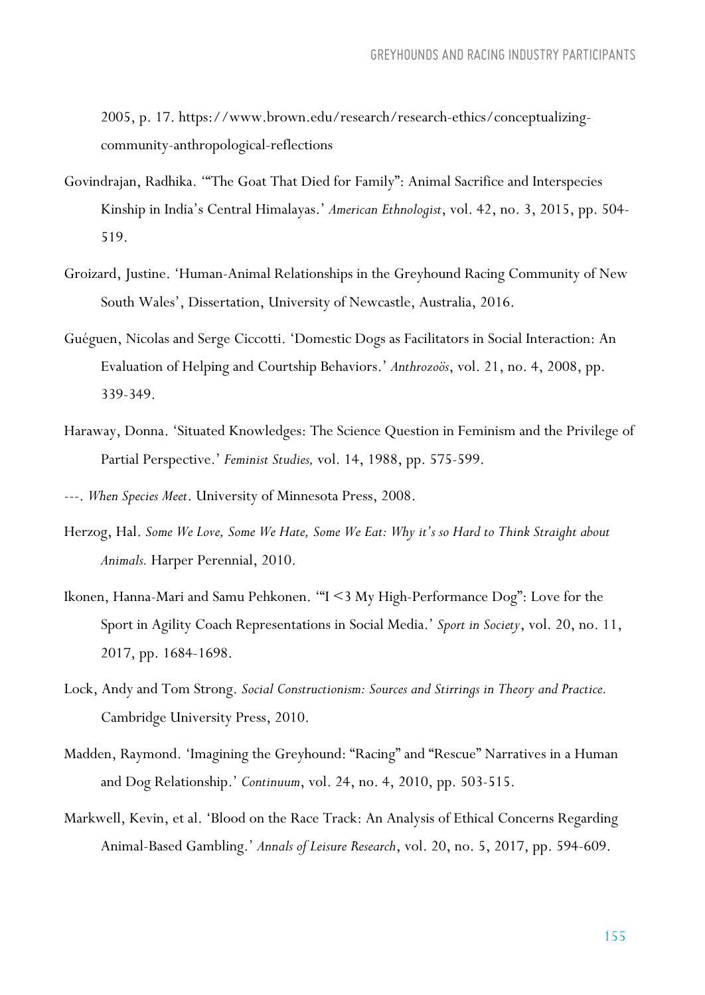2005, p. 17. https://www.brown.edu/research/research-ethics/conceptualizingcommunity-anthropological-reflections

- Govindrajan, Radhika. '"The Goat That Died for Family": Animal Sacrifice and Interspecies Kinship in India's Central Himalayas.' *American Ethnologist*, vol. 42, no. 3, 2015, pp. 504- 519.
- Groizard, Justine. 'Human-Animal Relationships in the Greyhound Racing Community of New South Wales', Dissertation, University of Newcastle, Australia, 2016.
- Guéguen, Nicolas and Serge Ciccotti. 'Domestic Dogs as Facilitators in Social Interaction: An Evaluation of Helping and Courtship Behaviors.' *Anthrozoös*, vol. 21, no. 4, 2008, pp. 339-349.
- Haraway, Donna. 'Situated Knowledges: The Science Question in Feminism and the Privilege of Partial Perspective.' *Feminist Studies,* vol. 14, 1988, pp. 575-599.
- ---. *When Species Meet*. University of Minnesota Press, 2008.
- Herzog, Hal. *Some We Love, Some We Hate, Some We Eat: Why it's so Hard to Think Straight about Animals.* Harper Perennial, 2010.
- Ikonen, Hanna-Mari and Samu Pehkonen. '"I <3 My High-Performance Dog": Love for the Sport in Agility Coach Representations in Social Media.' *Sport in Society*, vol. 20, no. 11, 2017, pp. 1684-1698.
- Lock, Andy and Tom Strong. *Social Constructionism: Sources and Stirrings in Theory and Practice.*  Cambridge University Press, 2010.
- Madden, Raymond. 'Imagining the Greyhound: "Racing" and "Rescue" Narratives in a Human and Dog Relationship.' *Continuum*, vol. 24, no. 4, 2010, pp. 503-515.
- Markwell, Kevin, et al. 'Blood on the Race Track: An Analysis of Ethical Concerns Regarding Animal-Based Gambling.' *Annals of Leisure Research*, vol. 20, no. 5, 2017, pp. 594-609.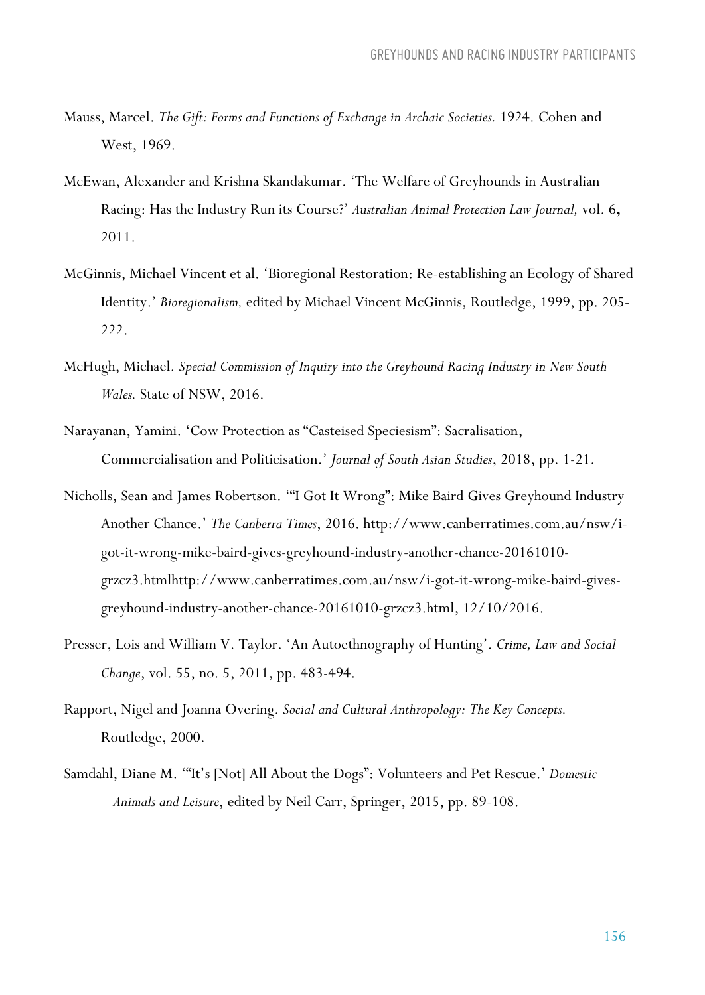- Mauss, Marcel. *The Gift: Forms and Functions of Exchange in Archaic Societies.* 1924. Cohen and West, 1969.
- McEwan, Alexander and Krishna Skandakumar. 'The Welfare of Greyhounds in Australian Racing: Has the Industry Run its Course?' *Australian Animal Protection Law Journal,* vol. 6**,** 2011.
- McGinnis, Michael Vincent et al. 'Bioregional Restoration: Re-establishing an Ecology of Shared Identity.' *Bioregionalism,* edited by Michael Vincent McGinnis, Routledge, 1999, pp. 205- 222.
- McHugh, Michael. *Special Commission of Inquiry into the Greyhound Racing Industry in New South Wales.* State of NSW, 2016.
- Narayanan, Yamini. 'Cow Protection as "Casteised Speciesism": Sacralisation, Commercialisation and Politicisation.' *Journal of South Asian Studies*, 2018, pp. 1-21.
- Nicholls, Sean and James Robertson. '"I Got It Wrong": Mike Baird Gives Greyhound Industry Another Chance.' *The Canberra Times*, 2016. http://www.canberratimes.com.au/nsw/igot-it-wrong-mike-baird-gives-greyhound-industry-another-chance-20161010 grzcz3.htmlhttp://www.canberratimes.com.au/nsw/i-got-it-wrong-mike-baird-givesgreyhound-industry-another-chance-20161010-grzcz3.html, 12/10/2016.
- Presser, Lois and William V. Taylor. 'An Autoethnography of Hunting'. *Crime, Law and Social Change*, vol. 55, no. 5, 2011, pp. 483-494.
- Rapport, Nigel and Joanna Overing. *Social and Cultural Anthropology: The Key Concepts.*  Routledge, 2000.
- Samdahl, Diane M. '"It's [Not] All About the Dogs": Volunteers and Pet Rescue.' *Domestic Animals and Leisure*, edited by Neil Carr, Springer, 2015, pp. 89-108.